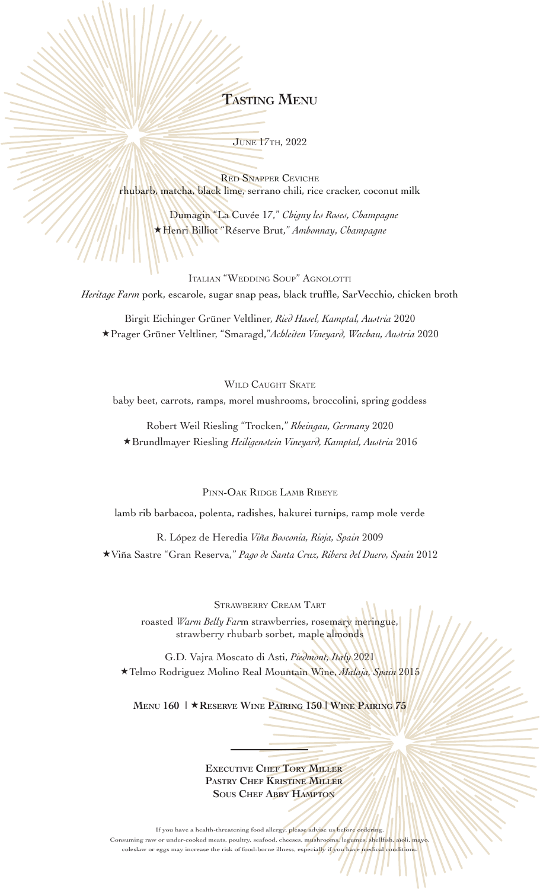# **Tasting Menu**

June 17th, 2022

Red Snapper Ceviche rhubarb, matcha, black lime, serrano chili, rice cracker, coconut milk

 $\overline{\phantom{a}}$ 

 Dumagin "La Cuvée 17," *Chigny les Roses, Champagne* Henri Billiot "Réserve Brut," *Ambonnay*, *Champagne* 

Italian "Wedding Soup" Agnolotti *Heritage Farm* pork, escarole, sugar snap peas, black truffle, SarVecchio, chicken broth

Birgit Eichinger Grüner Veltliner, *Ried Hasel, Kamptal, Austria* 2020 Prager Grüner Veltliner, "Smaragd,"*Achleiten Vineyard, Wachau, Austria* 2020

WILD CAUGHT SKATE

baby beet, carrots, ramps, morel mushrooms, broccolini, spring goddess

Robert Weil Riesling "Trocken," *Rheingau, Germany* 2020 Brundlmayer Riesling *Heiligenstein Vineyard, Kamptal, Austria* 2016

PINN-OAK RIDGE LAMB RIBEYE

lamb rib barbacoa, polenta, radishes, hakurei turnips, ramp mole verde

R. López de Heredia *Viña Bosconia, Rioja, Spain* 2009 Viña Sastre "Gran Reserva," *Pago de Santa Cruz, Ribera del Duero, Spain* 2012

> Strawberry Cream Tart roasted *Warm Belly Far*m strawberries, rosemary meringue, strawberry rhubarb sorbet, maple almonds

G.D. Vajra Moscato di Asti, *Piedmont, Italy* 2021 Telmo Rodriguez Molino Real Mountain Wine, *Malaja, Spain* 2015

**Menu 160 | Reserve Wine Pairing 150 | Wine Pairing 75** 

**Executive Chef Tory Miller Pastry Chef Kristine Miller Sous Chef Abby Hampton**

If you have a health-threatening food allergy, please advise us before ordering. Consuming raw or under-cooked meats, poultry, seafood, cheeses, mushrooms, legumes, shellfish coleslaw or eggs may increase the risk of food-borne illness, especially if you have medical conditio